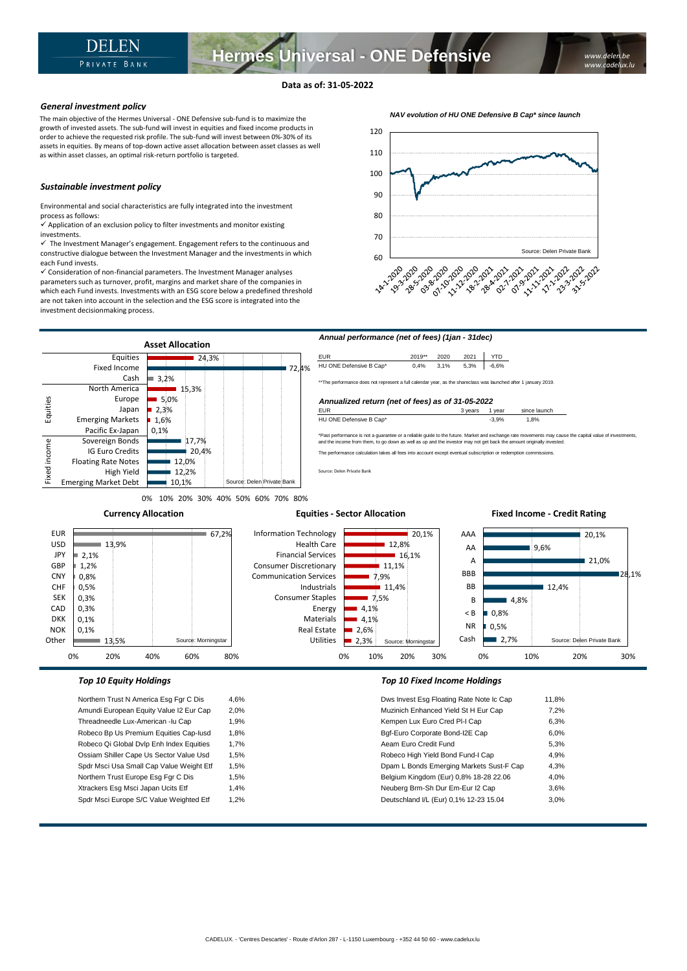## **Data as of: 31-05-2022**

#### *General investment policy*

The main objective of the Hermes Universal - ONE Defensive sub-fund is to maximize the growth of invested assets. The sub-fund will invest in equities and fixed income products in order to achieve the requested risk profile. The sub-fund will invest between 0%-30% of its assets in equities. By means of top-down active asset allocation between asset classes as well as within asset classes, an optimal risk-return portfolio is targeted.

## *Sustainable investment policy*

Environmental and social characteristics are fully integrated into the investment process as follows:

 $\checkmark$  Application of an exclusion policy to filter investments and monitor existing investments.

 $\checkmark$  The Investment Manager's engagement. Engagement refers to the continuous and constructive dialogue between the Investment Manager and the investments in which each Fund invests.

✓ Consideration of non-financial parameters. The Investment Manager analyses parameters such as turnover, profit, margins and market share of the companies in which each Fund invests. Investments with an ESG score below a predefined threshold are not taken into account in the selection and the ESG score is integrated into the investment decisionmaking process.





0% 10% 20% 30% 40% 50% 60% 70% 80%

Source: Morningstar

**Currency Allocation**

#### **Equities - Sector Allocation**

#### 20,1% ■ 9.6% 21.0% 28,1%  $12.4%$  $-4.8%$ 0,8% 0,5% AAA AA A BBB BB B < B NR 20,1%  $12,8%$  $16,1%$  $11,1%$ 7,9%  $11.4%$ 7,5% 4,1% 4,1%  $2.6%$ Information Technology Health Care Financial Services Consumer Discretionary Communication Services Industrials Consumer Staples Energy Materials Real Estate  $\overline{67,2\%}$ 13,9%

0% 10% 20% 30%

Source: Morningstar

2,3%

Utilities

13,5%

2,1% 1,2% 0,8% 0,5% 0,3% 0,3% 0,1% 0,1%

EUR USD **JPY** GBP CNY CHF SEK CAD DKK NOK **Other** 

> Northern Trust N America Esg Fgr C Dis 4,6% Amundi European Equity Value I2 Eur Cap 2,0% Threadneedle Lux-American -lu Cap 1,9% Robeco Bp Us Premium Equities Cap-Iusd 1,8% Robeco Qi Global Dvlp Enh Index Equities 1,7% Ossiam Shiller Cape Us Sector Value Usd 1,5% Spdr Msci Usa Small Cap Value Weight Etf 1,5% Northern Trust Europe Esg Fgr C Dis 1,5% Xtrackers Esg Msci Japan Ucits Etf 1,4% Spdr Msci Europe S/C Value Weighted Etf 1,2%

0% 20% 40% 60% 80%

## *Top 10 Equity Holdings Top 10 Fixed Income Holdings*

| Dws Invest Esg Floating Rate Note Ic Cap | 11.8% |
|------------------------------------------|-------|
| Muzinich Enhanced Yield St H Eur Cap     | 7,2%  |
| Kempen Lux Euro Cred PI-I Cap            | 6.3%  |
| Bgf-Euro Corporate Bond-I2E Cap          | 6.0%  |
| Aeam Euro Credit Fund                    | 5.3%  |
| Robeco High Yield Bond Fund-I Cap        | 4.9%  |
| Dpam L Bonds Emerging Markets Sust-F Cap | 4.3%  |
| Belgium Kingdom (Eur) 0,8% 18-28 22.06   | 4.0%  |
| Neuberg Brm-Sh Dur Em-Eur I2 Cap         | 3.6%  |
| Deutschland I/L (Eur) 0,1% 12-23 15.04   | 3.0%  |
|                                          |       |

Cash

 $2.7%$ 

0% 10% 20% 30%

Source: Delen Private Bank

**Fixed Income - Credit Rating** 

#### *NAV evolution of HU ONE Defensive B Cap\* since launch*